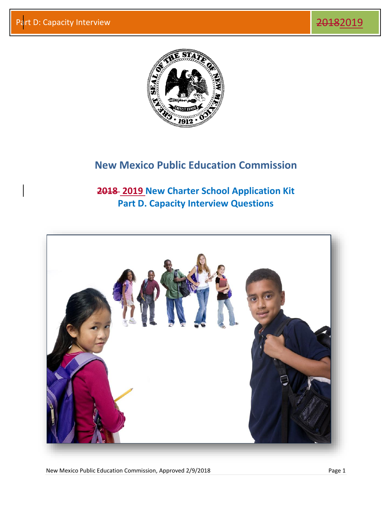

## **New Mexico Public Education Commission**

**2018 2019 New Charter School Application Kit Part D. Capacity Interview Questions**



New Mexico Public Education Commission, Approved 2/9/2018 **Page 1** Page 1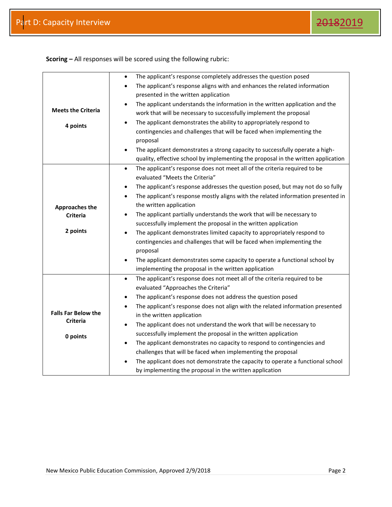|                                               | The applicant's response completely addresses the question posed<br>$\bullet$                 |
|-----------------------------------------------|-----------------------------------------------------------------------------------------------|
|                                               | The applicant's response aligns with and enhances the related information<br>$\bullet$        |
|                                               | presented in the written application                                                          |
|                                               | The applicant understands the information in the written application and the<br>$\bullet$     |
| <b>Meets the Criteria</b>                     | work that will be necessary to successfully implement the proposal                            |
| 4 points                                      | The applicant demonstrates the ability to appropriately respond to<br>$\bullet$               |
|                                               | contingencies and challenges that will be faced when implementing the                         |
|                                               | proposal                                                                                      |
|                                               | The applicant demonstrates a strong capacity to successfully operate a high-<br>$\bullet$     |
|                                               | quality, effective school by implementing the proposal in the written application             |
|                                               | The applicant's response does not meet all of the criteria required to be<br>$\bullet$        |
|                                               | evaluated "Meets the Criteria"                                                                |
|                                               | The applicant's response addresses the question posed, but may not do so fully<br>$\bullet$   |
|                                               | The applicant's response mostly aligns with the related information presented in<br>$\bullet$ |
| <b>Approaches the</b>                         | the written application                                                                       |
| <b>Criteria</b>                               | The applicant partially understands the work that will be necessary to<br>$\bullet$           |
|                                               | successfully implement the proposal in the written application                                |
| 2 points                                      | The applicant demonstrates limited capacity to appropriately respond to<br>$\bullet$          |
|                                               | contingencies and challenges that will be faced when implementing the                         |
|                                               | proposal                                                                                      |
|                                               | The applicant demonstrates some capacity to operate a functional school by<br>$\bullet$       |
|                                               | implementing the proposal in the written application                                          |
|                                               | The applicant's response does not meet all of the criteria required to be<br>$\bullet$        |
|                                               | evaluated "Approaches the Criteria"                                                           |
|                                               | The applicant's response does not address the question posed<br>$\bullet$                     |
|                                               | The applicant's response does not align with the related information presented<br>$\bullet$   |
| <b>Falls Far Below the</b><br><b>Criteria</b> | in the written application                                                                    |
|                                               | The applicant does not understand the work that will be necessary to<br>$\bullet$             |
| 0 points                                      | successfully implement the proposal in the written application                                |
|                                               | The applicant demonstrates no capacity to respond to contingencies and<br>$\bullet$           |
|                                               | challenges that will be faced when implementing the proposal                                  |
|                                               | The applicant does not demonstrate the capacity to operate a functional school<br>$\bullet$   |
|                                               | by implementing the proposal in the written application                                       |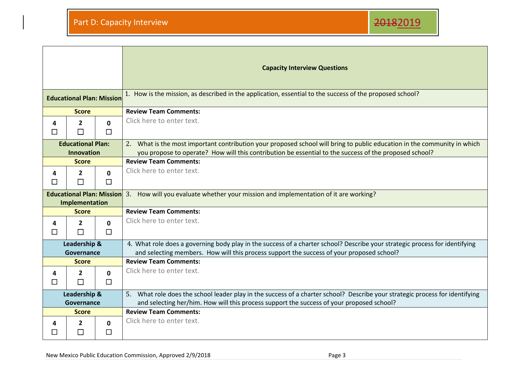$\blacksquare$ 



m.

|                                  |                        |                    | <b>Capacity Interview Questions</b>                                                                                                                                                                                       |
|----------------------------------|------------------------|--------------------|---------------------------------------------------------------------------------------------------------------------------------------------------------------------------------------------------------------------------|
| <b>Educational Plan: Mission</b> |                        |                    | 1. How is the mission, as described in the application, essential to the success of the proposed school?                                                                                                                  |
|                                  | <b>Score</b>           |                    | <b>Review Team Comments:</b>                                                                                                                                                                                              |
| 4                                | $\mathbf{2}$           | $\mathbf{0}$       | Click here to enter text.                                                                                                                                                                                                 |
| П                                | П                      | П                  |                                                                                                                                                                                                                           |
| <b>Educational Plan:</b>         |                        |                    | 2. What is the most important contribution your proposed school will bring to public education in the community in which                                                                                                  |
| <b>Innovation</b>                |                        |                    | you propose to operate? How will this contribution be essential to the success of the proposed school?                                                                                                                    |
| <b>Score</b>                     |                        |                    | <b>Review Team Comments:</b>                                                                                                                                                                                              |
| 4                                | $\mathbf{2}$           | $\Omega$           | Click here to enter text.                                                                                                                                                                                                 |
| $\Box$                           | П                      | □                  |                                                                                                                                                                                                                           |
| <b>Educational Plan: Mission</b> |                        |                    | 3. How will you evaluate whether your mission and implementation of it are working?                                                                                                                                       |
|                                  | Implementation         |                    |                                                                                                                                                                                                                           |
| <b>Score</b>                     |                        |                    | <b>Review Team Comments:</b>                                                                                                                                                                                              |
| 4<br>П                           | $\mathbf{2}$<br>П      | $\Omega$<br>$\Box$ | Click here to enter text.                                                                                                                                                                                                 |
| Leadership &<br>Governance       |                        |                    | 4. What role does a governing body play in the success of a charter school? Describe your strategic process for identifying<br>and selecting members. How will this process support the success of your proposed school?  |
| <b>Score</b>                     |                        |                    | <b>Review Team Comments:</b>                                                                                                                                                                                              |
| 4<br>□                           | $\mathbf{2}$<br>$\Box$ | 0<br>$\Box$        | Click here to enter text.                                                                                                                                                                                                 |
| Leadership &<br>Governance       |                        |                    | 5. What role does the school leader play in the success of a charter school? Describe your strategic process for identifying<br>and selecting her/him. How will this process support the success of your proposed school? |
| <b>Score</b>                     |                        |                    | <b>Review Team Comments:</b>                                                                                                                                                                                              |
| 4<br>ΙI                          | 2<br>$\Box$            | 0<br>П             | Click here to enter text.                                                                                                                                                                                                 |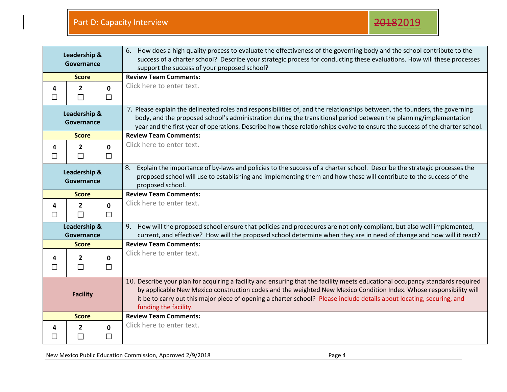| Leadership &<br>Governance |                          |                        | 6. How does a high quality process to evaluate the effectiveness of the governing body and the school contribute to the<br>success of a charter school? Describe your strategic process for conducting these evaluations. How will these processes<br>support the success of your proposed school?                                                                                                    |
|----------------------------|--------------------------|------------------------|-------------------------------------------------------------------------------------------------------------------------------------------------------------------------------------------------------------------------------------------------------------------------------------------------------------------------------------------------------------------------------------------------------|
| <b>Score</b>               |                          |                        | <b>Review Team Comments:</b>                                                                                                                                                                                                                                                                                                                                                                          |
| 4<br>$\Box$                | $\overline{2}$<br>$\Box$ | $\mathbf 0$<br>$\Box$  | Click here to enter text.                                                                                                                                                                                                                                                                                                                                                                             |
| Leadership &<br>Governance |                          |                        | 7. Please explain the delineated roles and responsibilities of, and the relationships between, the founders, the governing<br>body, and the proposed school's administration during the transitional period between the planning/implementation<br>year and the first year of operations. Describe how those relationships evolve to ensure the success of the charter school.                        |
| <b>Score</b>               |                          |                        | <b>Review Team Comments:</b>                                                                                                                                                                                                                                                                                                                                                                          |
| 4<br>□                     | $\mathbf{2}$<br>$\Box$   | $\mathbf 0$<br>$\Box$  | Click here to enter text.                                                                                                                                                                                                                                                                                                                                                                             |
| Leadership &<br>Governance |                          |                        | Explain the importance of by-laws and policies to the success of a charter school. Describe the strategic processes the<br>8.<br>proposed school will use to establishing and implementing them and how these will contribute to the success of the<br>proposed school.                                                                                                                               |
| <b>Score</b>               |                          |                        | <b>Review Team Comments:</b>                                                                                                                                                                                                                                                                                                                                                                          |
| 4<br>$\Box$                | $\mathbf{2}$<br>$\Box$   | $\mathbf{0}$<br>$\Box$ | Click here to enter text.                                                                                                                                                                                                                                                                                                                                                                             |
| Leadership &<br>Governance |                          |                        | How will the proposed school ensure that policies and procedures are not only compliant, but also well implemented,<br>9.<br>current, and effective? How will the proposed school determine when they are in need of change and how will it react?                                                                                                                                                    |
| <b>Score</b>               |                          |                        | <b>Review Team Comments:</b>                                                                                                                                                                                                                                                                                                                                                                          |
| 4<br>$\Box$                | 2<br>$\Box$              | 0<br>$\Box$            | Click here to enter text.                                                                                                                                                                                                                                                                                                                                                                             |
| <b>Facility</b>            |                          |                        | 10. Describe your plan for acquiring a facility and ensuring that the facility meets educational occupancy standards required<br>by applicable New Mexico construction codes and the weighted New Mexico Condition Index. Whose responsibility will<br>it be to carry out this major piece of opening a charter school? Please include details about locating, securing, and<br>funding the facility. |
|                            | <b>Score</b>             |                        | <b>Review Team Comments:</b>                                                                                                                                                                                                                                                                                                                                                                          |
| 4<br>□                     | 2<br>$\Box$              | $\mathbf 0$<br>$\Box$  | Click here to enter text.                                                                                                                                                                                                                                                                                                                                                                             |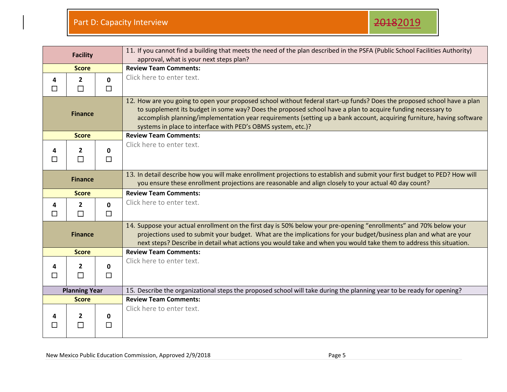| <b>Facility</b>      |                          |                        | 11. If you cannot find a building that meets the need of the plan described in the PSFA (Public School Facilities Authority)<br>approval, what is your next steps plan?                                                                                                                                                                                                                                                        |
|----------------------|--------------------------|------------------------|--------------------------------------------------------------------------------------------------------------------------------------------------------------------------------------------------------------------------------------------------------------------------------------------------------------------------------------------------------------------------------------------------------------------------------|
| <b>Score</b>         |                          |                        | <b>Review Team Comments:</b>                                                                                                                                                                                                                                                                                                                                                                                                   |
| 4<br>П               | $\overline{2}$<br>$\Box$ | $\mathbf{0}$<br>$\Box$ | Click here to enter text.                                                                                                                                                                                                                                                                                                                                                                                                      |
| <b>Finance</b>       |                          |                        | 12. How are you going to open your proposed school without federal start-up funds? Does the proposed school have a plan<br>to supplement its budget in some way? Does the proposed school have a plan to acquire funding necessary to<br>accomplish planning/implementation year requirements (setting up a bank account, acquiring furniture, having software<br>systems in place to interface with PED's OBMS system, etc.)? |
| <b>Score</b>         |                          |                        | <b>Review Team Comments:</b>                                                                                                                                                                                                                                                                                                                                                                                                   |
| 4<br>П               | $\overline{2}$<br>П      | $\mathbf 0$<br>$\Box$  | Click here to enter text.                                                                                                                                                                                                                                                                                                                                                                                                      |
| <b>Finance</b>       |                          |                        | 13. In detail describe how you will make enrollment projections to establish and submit your first budget to PED? How will<br>you ensure these enrollment projections are reasonable and align closely to your actual 40 day count?                                                                                                                                                                                            |
|                      | <b>Score</b>             |                        | <b>Review Team Comments:</b>                                                                                                                                                                                                                                                                                                                                                                                                   |
| 4<br>$\Box$          | $\overline{2}$<br>П      | $\mathbf{0}$<br>$\Box$ | Click here to enter text.                                                                                                                                                                                                                                                                                                                                                                                                      |
| <b>Finance</b>       |                          |                        | 14. Suppose your actual enrollment on the first day is 50% below your pre-opening "enrollments" and 70% below your<br>projections used to submit your budget. What are the implications for your budget/business plan and what are your<br>next steps? Describe in detail what actions you would take and when you would take them to address this situation.                                                                  |
| <b>Score</b>         |                          |                        | <b>Review Team Comments:</b>                                                                                                                                                                                                                                                                                                                                                                                                   |
| 4<br>П               | $\mathbf{2}$<br>$\Box$   | 0<br>$\Box$            | Click here to enter text.                                                                                                                                                                                                                                                                                                                                                                                                      |
| <b>Planning Year</b> |                          |                        | 15. Describe the organizational steps the proposed school will take during the planning year to be ready for opening?                                                                                                                                                                                                                                                                                                          |
| <b>Score</b>         |                          |                        | <b>Review Team Comments:</b>                                                                                                                                                                                                                                                                                                                                                                                                   |
|                      | 2<br>□                   | 0<br>□                 | Click here to enter text.                                                                                                                                                                                                                                                                                                                                                                                                      |